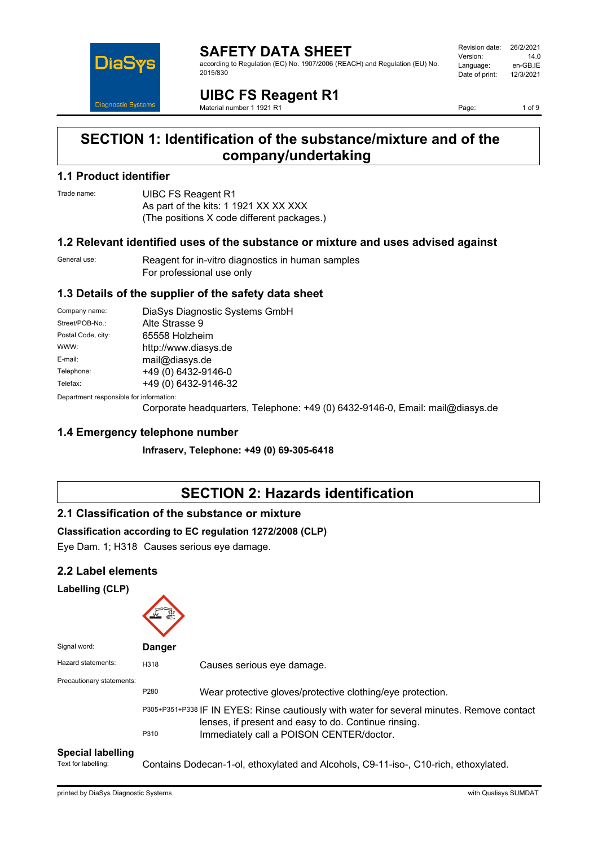

**SAFETY DATA SHEET** according to Regulation (EC) No. 1907/2006 (REACH) and Regulation (EU) No. 2015/830

Revision date: 26/2/2021 Version: 14.0 Language: en-GB,IE<br>Date of print: 12/3/2021 Date of print:

**UIBC FS Reagent R1** Material number 1 1921 R1

Page: 1 of 9

## **SECTION 1: Identification of the substance/mixture and of the company/undertaking**

### **1.1 Product identifier**

Trade name: **UIBC FS Reagent R1** As part of the kits: 1 1921 XX XX XXX (The positions X code different packages.)

### **1.2 Relevant identified uses of the substance or mixture and uses advised against**

General use: Reagent for in-vitro diagnostics in human samples For professional use only

## **1.3 Details of the supplier of the safety data sheet**

| Company name:                           | DiaSys Diagnostic Systems GmbH |  |
|-----------------------------------------|--------------------------------|--|
| Street/POB-No.:                         | Alte Strasse 9                 |  |
| Postal Code, city:                      | 65558 Holzheim                 |  |
| WWW:                                    | http://www.diasys.de           |  |
| E-mail:                                 | mail@diasys.de                 |  |
| Telephone:                              | +49 (0) 6432-9146-0            |  |
| Telefax:                                | +49 (0) 6432-9146-32           |  |
| Department responsible for information: |                                |  |

Department responsible for information:

Corporate headquarters, Telephone: +49 (0) 6432-9146-0, Email: mail@diasys.de

### **1.4 Emergency telephone number**

**Infraserv, Telephone: +49 (0) 69-305-6418**

# **SECTION 2: Hazards identification**

### **2.1 Classification of the substance or mixture**

### **Classification according to EC regulation 1272/2008 (CLP)**

Eye Dam. 1; H318 Causes serious eye damage.

### **2.2 Label elements**

### **Labelling (CLP)**

| Signal word:              | <b>Danger</b> |                                                                                                                                                                                                                                                              |
|---------------------------|---------------|--------------------------------------------------------------------------------------------------------------------------------------------------------------------------------------------------------------------------------------------------------------|
| Hazard statements:        | H318          | Causes serious eye damage.                                                                                                                                                                                                                                   |
| Precautionary statements: | P280<br>P310  | Wear protective gloves/protective clothing/eye protection.<br>P305+P351+P338 IF IN EYES: Rinse cautiously with water for several minutes. Remove contact<br>lenses, if present and easy to do. Continue rinsing.<br>Immediately call a POISON CENTER/doctor. |

### **Special labelling**

Text for labelling: Contains Dodecan-1-ol, ethoxylated and Alcohols, C9-11-iso-, C10-rich, ethoxylated.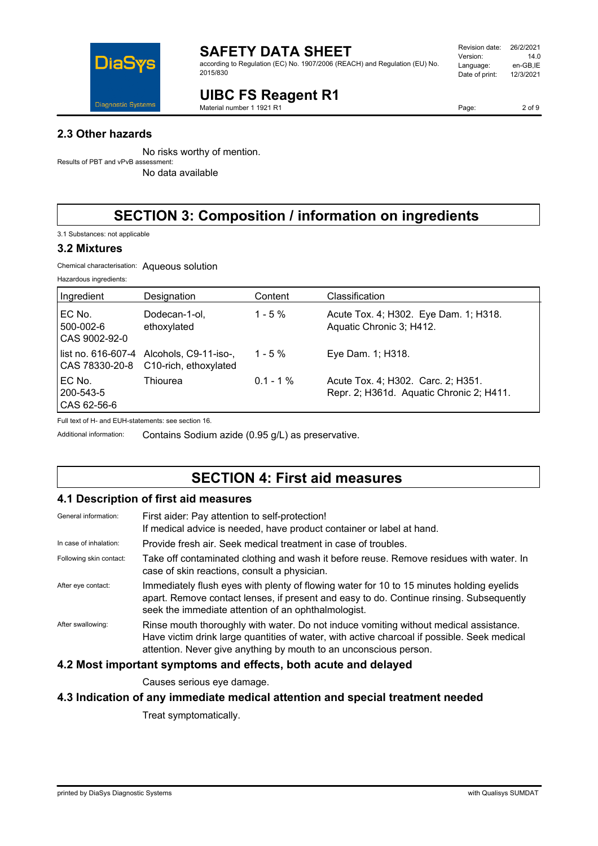

according to Regulation (EC) No. 1907/2006 (REACH) and Regulation (EU) No. 2015/830

#### Revision date: 26/2/2021<br>Version: 14.0 Version: 14.0<br>Language: en-GB,IE Language: en-GB,IE<br>Date of print: 12/3/2021 Date of print:

# **UIBC FS Reagent R1**

Material number 1 1921 R1

**2.3 Other hazards**

No risks worthy of mention. Results of PBT and vPvB assessment:

No data available

# **SECTION 3: Composition / information on ingredients**

3.1 Substances: not applicable

### **3.2 Mixtures**

Chemical characterisation: Aqueous solution

| Hazardous ingredients: |  |
|------------------------|--|
|------------------------|--|

| Ingredient                            | Designation                                                       | Content     | Classification                                                                 |
|---------------------------------------|-------------------------------------------------------------------|-------------|--------------------------------------------------------------------------------|
| EC No.<br>500-002-6<br>CAS 9002-92-0  | Dodecan-1-ol,<br>ethoxylated                                      | $1 - 5 \%$  | Acute Tox. 4; H302. Eye Dam. 1; H318.<br>Aquatic Chronic 3; H412.              |
| CAS 78330-20-8                        | list no. 616-607-4 Alcohols, C9-11-iso-,<br>C10-rich, ethoxylated | $1 - 5 \%$  | Eye Dam. 1; H318.                                                              |
| EC No.<br>200-543-5<br>$ CAS 62-56-6$ | Thiourea                                                          | $0.1 - 1\%$ | Acute Tox. 4; H302. Carc. 2; H351.<br>Repr. 2; H361d. Aquatic Chronic 2; H411. |

Full text of H- and EUH-statements: see section 16.

Additional information: Contains Sodium azide (0.95 g/L) as preservative.

## **SECTION 4: First aid measures**

### **4.1 Description of first aid measures**

| General information:    | First aider: Pay attention to self-protection!<br>If medical advice is needed, have product container or label at hand.                                                                                                                                   |
|-------------------------|-----------------------------------------------------------------------------------------------------------------------------------------------------------------------------------------------------------------------------------------------------------|
| In case of inhalation:  | Provide fresh air. Seek medical treatment in case of troubles.                                                                                                                                                                                            |
| Following skin contact: | Take off contaminated clothing and wash it before reuse. Remove residues with water. In<br>case of skin reactions, consult a physician.                                                                                                                   |
| After eye contact:      | Immediately flush eyes with plenty of flowing water for 10 to 15 minutes holding eyelids<br>apart. Remove contact lenses, if present and easy to do. Continue rinsing. Subsequently<br>seek the immediate attention of an ophthalmologist.                |
| After swallowing:       | Rinse mouth thoroughly with water. Do not induce vomiting without medical assistance.<br>Have victim drink large quantities of water, with active charcoal if possible. Seek medical<br>attention. Never give anything by mouth to an unconscious person. |
|                         |                                                                                                                                                                                                                                                           |

### **4.2 Most important symptoms and effects, both acute and delayed**

Causes serious eye damage.

### **4.3 Indication of any immediate medical attention and special treatment needed**

Treat symptomatically.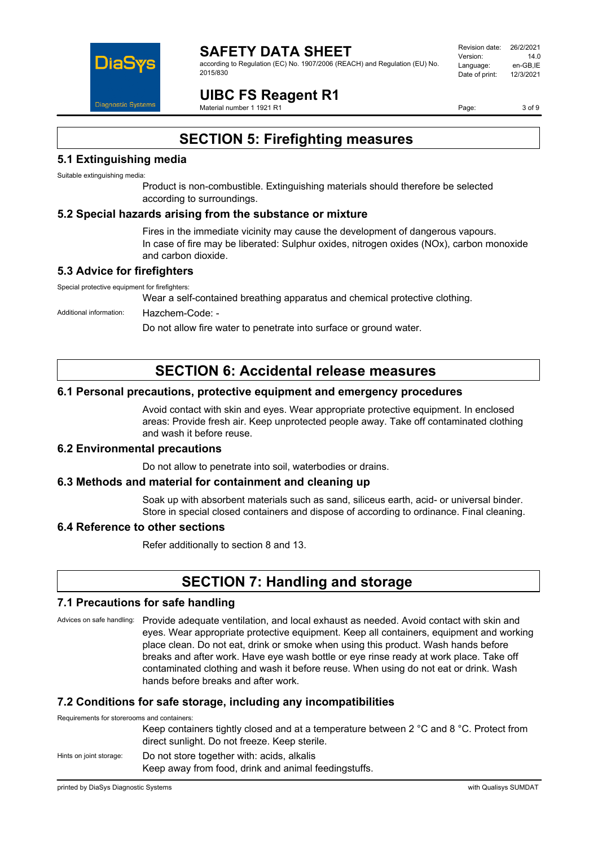

#### **SAFETY DATA SHEET** according to Regulation (EC) No. 1907/2006 (REACH) and Regulation (EU) No. 2015/830

Revision date: 26/2/2021 Version: 14.0 Language: en-GB,IE<br>Date of print: 12/3/2021 Date of print:

# **UIBC FS Reagent R1**

Material number 1 1921 R1

Page: 3 of 9

# **SECTION 5: Firefighting measures**

## **5.1 Extinguishing media**

Suitable extinguishing media:

Product is non-combustible. Extinguishing materials should therefore be selected according to surroundings.

### **5.2 Special hazards arising from the substance or mixture**

Fires in the immediate vicinity may cause the development of dangerous vapours. In case of fire may be liberated: Sulphur oxides, nitrogen oxides (NOx), carbon monoxide and carbon dioxide.

### **5.3 Advice for firefighters**

Special protective equipment for firefighters:

Wear a self-contained breathing apparatus and chemical protective clothing.

Additional information: Hazchem-Code: -

Do not allow fire water to penetrate into surface or ground water.

# **SECTION 6: Accidental release measures**

### **6.1 Personal precautions, protective equipment and emergency procedures**

Avoid contact with skin and eyes. Wear appropriate protective equipment. In enclosed areas: Provide fresh air. Keep unprotected people away. Take off contaminated clothing and wash it before reuse.

### **6.2 Environmental precautions**

Do not allow to penetrate into soil, waterbodies or drains.

### **6.3 Methods and material for containment and cleaning up**

Soak up with absorbent materials such as sand, siliceus earth, acid- or universal binder. Store in special closed containers and dispose of according to ordinance. Final cleaning.

### **6.4 Reference to other sections**

Refer additionally to section 8 and 13.

## **SECTION 7: Handling and storage**

### **7.1 Precautions for safe handling**

Advices on safe handling: Provide adequate ventilation, and local exhaust as needed. Avoid contact with skin and eyes. Wear appropriate protective equipment. Keep all containers, equipment and working place clean. Do not eat, drink or smoke when using this product. Wash hands before breaks and after work. Have eye wash bottle or eye rinse ready at work place. Take off contaminated clothing and wash it before reuse. When using do not eat or drink. Wash hands before breaks and after work.

### **7.2 Conditions for safe storage, including any incompatibilities**

Requirements for storerooms and containers:

Keep containers tightly closed and at a temperature between 2 °C and 8 °C. Protect from direct sunlight. Do not freeze. Keep sterile.

### Hints on joint storage: Do not store together with: acids, alkalis

Keep away from food, drink and animal feedingstuffs.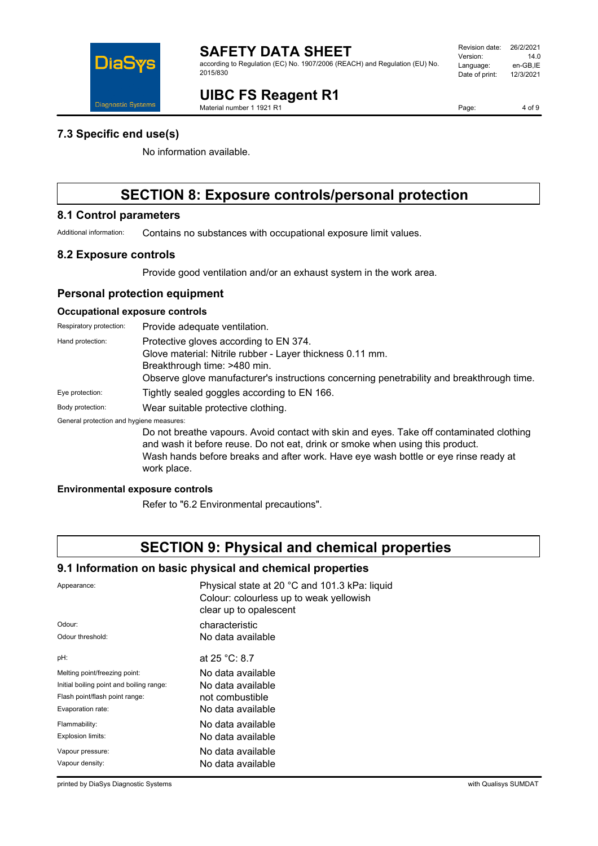

according to Regulation (EC) No. 1907/2006 (REACH) and Regulation (EU) No. 2015/830

# **UIBC FS Reagent R1**

Material number 1 1921 R1

Page: 4 of 9

### **7.3 Specific end use(s)**

No information available.

# **SECTION 8: Exposure controls/personal protection**

### **8.1 Control parameters**

Additional information: Contains no substances with occupational exposure limit values.

### **8.2 Exposure controls**

Provide good ventilation and/or an exhaust system in the work area.

### **Personal protection equipment**

### **Occupational exposure controls**

| Respiratory protection:                  | Provide adequate ventilation.                                                                                                                                                                                                                                                   |
|------------------------------------------|---------------------------------------------------------------------------------------------------------------------------------------------------------------------------------------------------------------------------------------------------------------------------------|
| Hand protection:                         | Protective gloves according to EN 374.<br>Glove material: Nitrile rubber - Layer thickness 0.11 mm.<br>Breakthrough time: >480 min.<br>Observe glove manufacturer's instructions concerning penetrability and breakthrough time.                                                |
| Eye protection:                          | Tightly sealed goggles according to EN 166.                                                                                                                                                                                                                                     |
| Body protection:                         | Wear suitable protective clothing.                                                                                                                                                                                                                                              |
| General protection and hygiene measures: |                                                                                                                                                                                                                                                                                 |
|                                          | Do not breathe vapours. Avoid contact with skin and eyes. Take off contaminated clothing<br>and wash it before reuse. Do not eat, drink or smoke when using this product.<br>Wash hands before breaks and after work. Have eye wash bottle or eye rinse ready at<br>work place. |

### **Environmental exposure controls**

Refer to "6.2 Environmental precautions".

## **SECTION 9: Physical and chemical properties**

### **9.1 Information on basic physical and chemical properties**

| Appearance:                              | Physical state at 20 °C and 101.3 kPa: liquid<br>Colour: colourless up to weak yellowish<br>clear up to opalescent |
|------------------------------------------|--------------------------------------------------------------------------------------------------------------------|
| Odour:                                   | characteristic                                                                                                     |
| Odour threshold:                         | No data available                                                                                                  |
| pH:                                      | at $25 °C: 8.7$                                                                                                    |
| Melting point/freezing point:            | No data available                                                                                                  |
| Initial boiling point and boiling range: | No data available                                                                                                  |
| Flash point/flash point range:           | not combustible                                                                                                    |
| Evaporation rate:                        | No data available                                                                                                  |
| Flammability:                            | No data available                                                                                                  |
| Explosion limits:                        | No data available                                                                                                  |
| Vapour pressure:                         | No data available                                                                                                  |
| Vapour density:                          | No data available                                                                                                  |
|                                          |                                                                                                                    |

printed by DiaSys Diagnostic Systems with Qualisys SUMDAT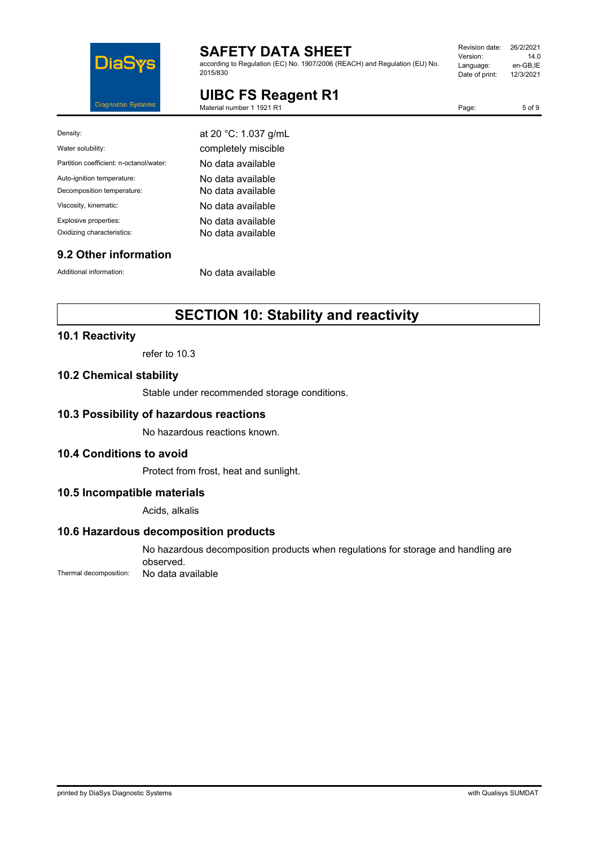

according to Regulation (EC) No. 1907/2006 (REACH) and Regulation (EU) No. 2015/830

| Revision date: | 26/2/2021 |
|----------------|-----------|
| Version:       | 140       |
| Language:      | en-GB,IE  |
| Date of print: | 12/3/2021 |
|                |           |

5 of 9

# **UIBC FS Reagent R1**

| 1921 R1<br>Material number 1 | ືອ" |
|------------------------------|-----|
|                              |     |

| Density:                                | at 20 °C: 1.037 g/mL |
|-----------------------------------------|----------------------|
| Water solubility:                       | completely miscible  |
| Partition coefficient: n-octanol/water: | No data available    |
| Auto-ignition temperature:              | No data available    |
| Decomposition temperature:              | No data available    |
| Viscosity, kinematic:                   | No data available    |
| Explosive properties:                   | No data available    |
| Oxidizing characteristics:              | No data available    |
|                                         |                      |

## **9.2 Other information**

Additional information: No data available

# **SECTION 10: Stability and reactivity**

## **10.1 Reactivity**

refer to 10.3

### **10.2 Chemical stability**

Stable under recommended storage conditions.

### **10.3 Possibility of hazardous reactions**

No hazardous reactions known.

### **10.4 Conditions to avoid**

Protect from frost, heat and sunlight.

### **10.5 Incompatible materials**

Acids, alkalis

## **10.6 Hazardous decomposition products**

No hazardous decomposition products when regulations for storage and handling are observed.

Thermal decomposition: No data available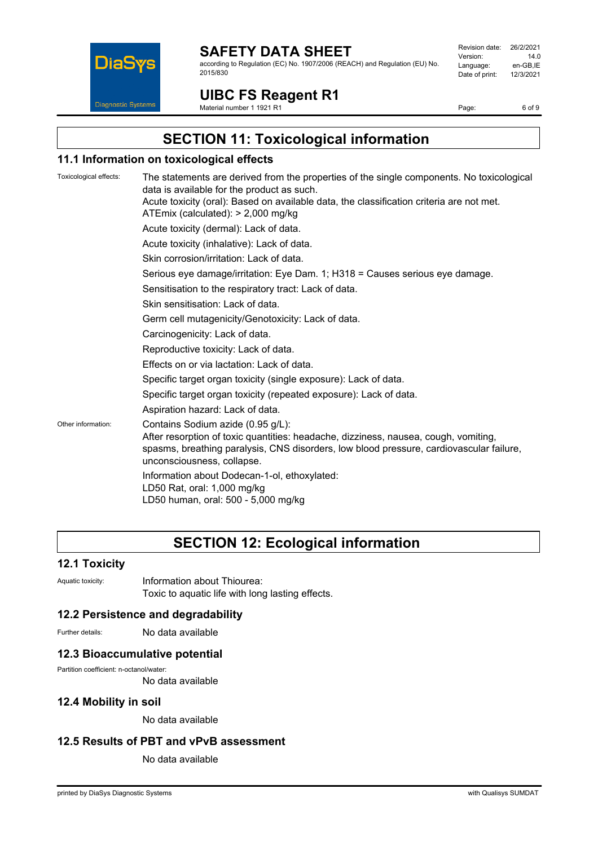

according to Regulation (EC) No. 1907/2006 (REACH) and Regulation (EU) No. 2015/830

Revision date: 26/2/2021 Version: 14.0 Language: en-GB,IE<br>Date of print: 12/3/2021 Date of print:

# **UIBC FS Reagent R1**

Material number 1 1921 R1

Page: 6 of 9

**SECTION 11: Toxicological information**

### **11.1 Information on toxicological effects**

Toxicological effects: The statements are derived from the properties of the single components. No toxicological data is available for the product as such. Acute toxicity (oral): Based on available data, the classification criteria are not met. ATEmix (calculated): > 2,000 mg/kg Acute toxicity (dermal): Lack of data. Acute toxicity (inhalative): Lack of data. Skin corrosion/irritation: Lack of data. Serious eye damage/irritation: Eye Dam. 1; H318 = Causes serious eye damage. Sensitisation to the respiratory tract: Lack of data. Skin sensitisation: Lack of data. Germ cell mutagenicity/Genotoxicity: Lack of data. Carcinogenicity: Lack of data. Reproductive toxicity: Lack of data. Effects on or via lactation: Lack of data. Specific target organ toxicity (single exposure): Lack of data. Specific target organ toxicity (repeated exposure): Lack of data. Aspiration hazard: Lack of data. Other information: Contains Sodium azide (0.95 g/L): After resorption of toxic quantities: headache, dizziness, nausea, cough, vomiting, spasms, breathing paralysis, CNS disorders, low blood pressure, cardiovascular failure, unconsciousness, collapse. Information about Dodecan-1-ol, ethoxylated: LD50 Rat, oral: 1,000 mg/kg LD50 human, oral: 500 - 5,000 mg/kg

## **SECTION 12: Ecological information**

### **12.1 Toxicity**

Aquatic toxicity: **Information about Thiourea:** Toxic to aquatic life with long lasting effects.

### **12.2 Persistence and degradability**

Further details: No data available

### **12.3 Bioaccumulative potential**

Partition coefficient: n-octanol/water:

No data available

### **12.4 Mobility in soil**

No data available

### **12.5 Results of PBT and vPvB assessment**

No data available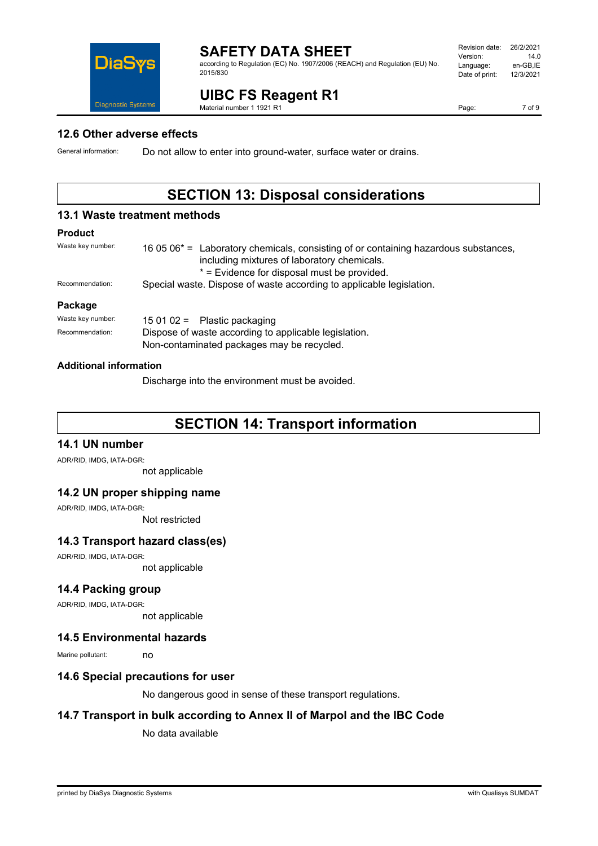

according to Regulation (EC) No. 1907/2006 (REACH) and Regulation (EU) No. 2015/830

#### Revision date: 26/2/2021<br>Version: 14.0 Version: Language: en-GB,IE<br>Date of print: 12/3/2021 Date of print:

**UIBC FS Reagent R1**

Material number 1 1921 R1

Page: 7 of 9

### **12.6 Other adverse effects**

General information: Do not allow to enter into ground-water, surface water or drains.

## **SECTION 13: Disposal considerations**

### **13.1 Waste treatment methods**

### **Product**

| Waste key number: | 16 05 06 <sup>*</sup> = Laboratory chemicals, consisting of or containing hazardous substances,<br>including mixtures of laboratory chemicals.<br>* = Evidence for disposal must be provided. |  |
|-------------------|-----------------------------------------------------------------------------------------------------------------------------------------------------------------------------------------------|--|
| Recommendation:   | Special waste. Dispose of waste according to applicable legislation.                                                                                                                          |  |
| Package           |                                                                                                                                                                                               |  |
| Waste key number: | 15 01 02 = Plastic packaging                                                                                                                                                                  |  |
| Recommendation:   | Dispose of waste according to applicable legislation.<br>Non-contaminated packages may be recycled.                                                                                           |  |

### **Additional information**

Discharge into the environment must be avoided.

## **SECTION 14: Transport information**

### **14.1 UN number**

ADR/RID, IMDG, IATA-DGR:

not applicable

### **14.2 UN proper shipping name**

ADR/RID, IMDG, IATA-DGR:

Not restricted

### **14.3 Transport hazard class(es)**

ADR/RID, IMDG, IATA-DGR:

not applicable

### **14.4 Packing group**

ADR/RID, IMDG, IATA-DGR:

not applicable

### **14.5 Environmental hazards**

Marine pollutant: no

### **14.6 Special precautions for user**

No dangerous good in sense of these transport regulations.

### **14.7 Transport in bulk according to Annex II of Marpol and the IBC Code**

No data available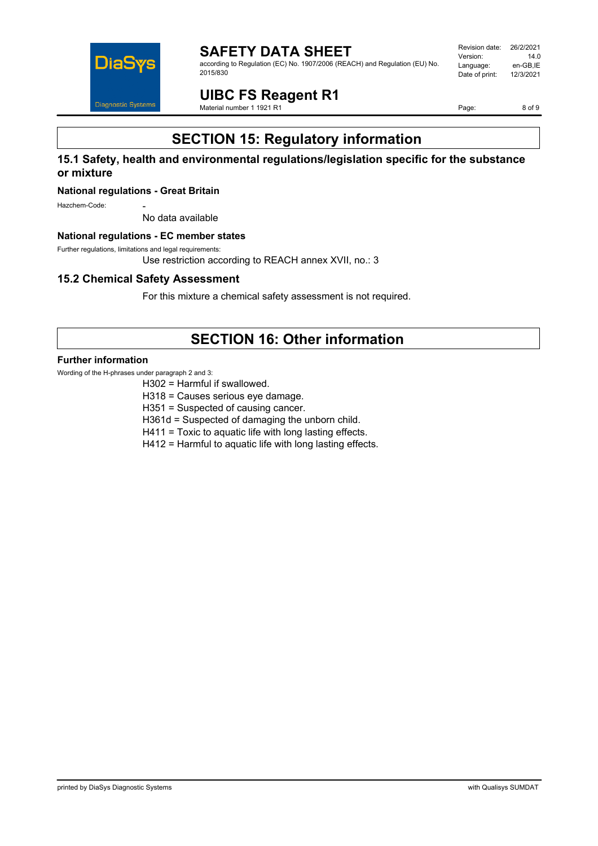

**SAFETY DATA SHEET** according to Regulation (EC) No. 1907/2006 (REACH) and Regulation (EU) No. 2015/830

Revision date: 26/2/2021<br>Version: 14.0 Version: Language: en-GB,IE<br>Date of print: 12/3/2021 Date of print:

**UIBC FS Reagent R1**

Material number 1 1921 R1

Page: 8 of 9

# **SECTION 15: Regulatory information**

### **15.1 Safety, health and environmental regulations/legislation specific for the substance or mixture**

### **National regulations - Great Britain**

Hazchem-Code:

No data available

### **National regulations - EC member states**

Further regulations, limitations and legal requirements:

Use restriction according to REACH annex XVII, no.: 3

### **15.2 Chemical Safety Assessment**

For this mixture a chemical safety assessment is not required.

## **SECTION 16: Other information**

### **Further information**

Wording of the H-phrases under paragraph 2 and 3:

H302 = Harmful if swallowed.

- H318 = Causes serious eye damage.
- H351 = Suspected of causing cancer.

H361d = Suspected of damaging the unborn child.

H411 = Toxic to aquatic life with long lasting effects.

H412 = Harmful to aquatic life with long lasting effects.